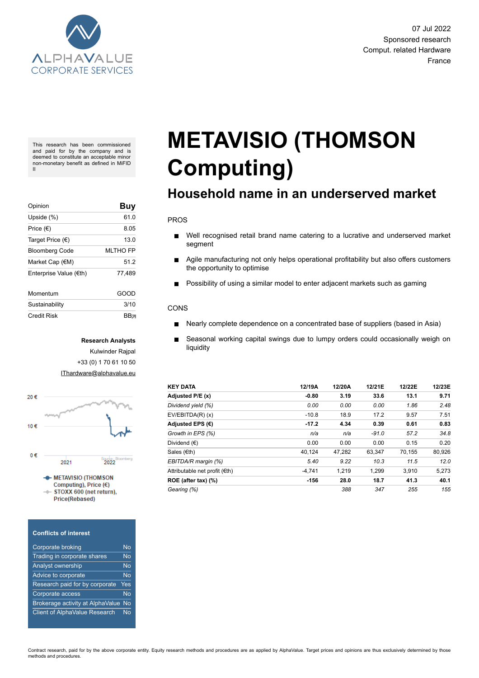

This research has been commissioned and paid for by the company and is deemed to constitute an acceptable minor non-monetary benefit as defined in MiFID II

| Opinion                | Buy             |
|------------------------|-----------------|
| Upside (%)             | 61.0            |
| Price $(\epsilon)$     | 8.05            |
| Target Price (€)       | 13.0            |
| <b>Bloomberg Code</b>  | <b>MLTHO FP</b> |
| Market Cap (€M)        | 51.2            |
| Enterprise Value (€th) | 77,489          |
| Momentum               | GOOD            |
| Sustainability         | 3/10            |
| Credit Risk            | ВВ⊼             |

#### **Research Analysts**

Kulwinder Rajpal +33 (0) 1 70 61 10 50 [IThardware@alphavalue.eu](mailto:IThardware@alphavalue.eu)



Computing), Price  $(E)$ TOXX 600 (net return), **Price(Rebased)** 

#### **Conflicts of interest**

| <b>Corporate broking</b>             | N٥        |
|--------------------------------------|-----------|
| Trading in corporate shares          | No        |
| Analyst ownership                    | No        |
| Advice to corporate                  | No        |
| Research paid for by corporate       | Yes       |
| Corporate access                     | <b>No</b> |
| Brokerage activity at AlphaValue     | <b>No</b> |
| <b>Client of AlphaValue Research</b> | No        |

# **METAVISIO (THOMSON Computing)**

# **Household name in an underserved market**

#### PROS

- Well recognised retail brand name catering to a lucrative and underserved market  $\blacksquare$ segment
- $\blacksquare$ Agile manufacturing not only helps operational profitability but also offers customers the opportunity to optimise
- Possibility of using a similar model to enter adjacent markets such as gaming  $\blacksquare$

#### CONS

- Nearly complete dependence on a concentrated base of suppliers (based in Asia)  $\blacksquare$
- Seasonal working capital swings due to lumpy orders could occasionally weigh on liquidity

| <b>KEY DATA</b>               | 12/19A   | 12/20A | 12/21E  | 12/22E | 12/23E |
|-------------------------------|----------|--------|---------|--------|--------|
| Adjusted P/E (x)              | $-0.80$  | 3.19   | 33.6    | 13.1   | 9.71   |
| Dividend yield (%)            | 0.00     | 0.00   | 0.00    | 1.86   | 2.48   |
| $EV/EBITDA(R)$ (x)            | $-10.8$  | 18.9   | 17.2    | 9.57   | 7.51   |
| Adjusted EPS $(E)$            | $-17.2$  | 4.34   | 0.39    | 0.61   | 0.83   |
| Growth in EPS (%)             | n/a      | n/a    | $-91.0$ | 57.2   | 34.8   |
| Dividend $(\epsilon)$         | 0.00     | 0.00   | 0.00    | 0.15   | 0.20   |
| Sales $(\epsilon$ th)         | 40.124   | 47,282 | 63,347  | 70.155 | 80,926 |
| EBITDA/R margin (%)           | 5.40     | 9.22   | 10.3    | 11.5   | 12.0   |
| Attributable net profit (€th) | $-4.741$ | 1.219  | 1.299   | 3.910  | 5,273  |
| ROE (after tax) (%)           | $-156$   | 28.0   | 18.7    | 41.3   | 40.1   |
| Gearing (%)                   |          | 388    | 347     | 255    | 155    |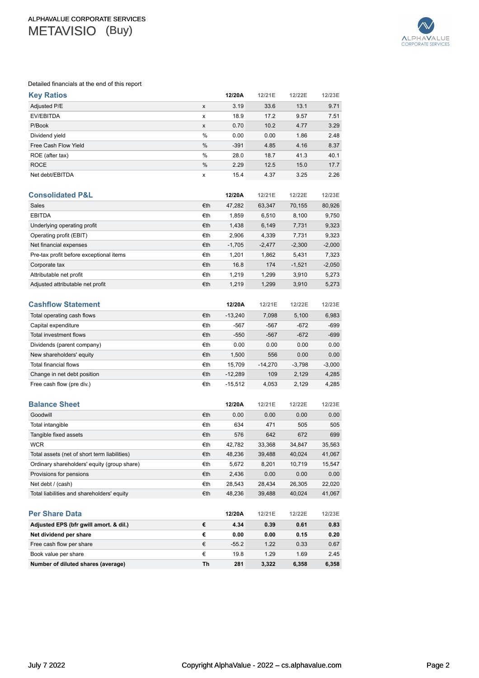

#### Detailed financials at the end of this report

| <b>Key Ratios</b>                            |     | 12/20A    | 12/21E    | 12/22E   | 12/23E   |
|----------------------------------------------|-----|-----------|-----------|----------|----------|
| Adjusted P/E                                 | x   | 3.19      | 33.6      | 13.1     | 9.71     |
| <b>EV/EBITDA</b>                             | x   | 18.9      | 17.2      | 9.57     | 7.51     |
| P/Book                                       | x   | 0.70      | 10.2      | 4.77     | 3.29     |
| Dividend yield                               | %   | 0.00      | 0.00      | 1.86     | 2.48     |
| Free Cash Flow Yield                         | %   | $-391$    | 4.85      | 4.16     | 8.37     |
| ROE (after tax)                              | %   | 28.0      | 18.7      | 41.3     | 40.1     |
| <b>ROCE</b>                                  | %   | 2.29      | 12.5      | 15.0     | 17.7     |
| Net debt/EBITDA                              | x   | 15.4      | 4.37      | 3.25     | 2.26     |
| <b>Consolidated P&amp;L</b>                  |     | 12/20A    | 12/21E    | 12/22E   | 12/23E   |
| Sales                                        | €th | 47,282    | 63,347    | 70,155   | 80,926   |
| <b>EBITDA</b>                                | €th | 1,859     | 6,510     | 8,100    | 9,750    |
| Underlying operating profit                  | €th | 1,438     | 6,149     | 7,731    | 9,323    |
| Operating profit (EBIT)                      | €th | 2,906     | 4,339     | 7,731    | 9,323    |
| Net financial expenses                       | €th | $-1,705$  | $-2,477$  | $-2,300$ | $-2,000$ |
| Pre-tax profit before exceptional items      | €th | 1,201     | 1,862     | 5,431    | 7,323    |
| Corporate tax                                | €th | 16.8      | 174       | $-1,521$ | $-2,050$ |
| Attributable net profit                      | €th | 1,219     | 1,299     | 3,910    | 5,273    |
| Adjusted attributable net profit             | €th | 1,219     | 1,299     | 3,910    | 5,273    |
| <b>Cashflow Statement</b>                    |     | 12/20A    | 12/21E    | 12/22E   | 12/23E   |
| Total operating cash flows                   | €th | -13,240   | 7,098     | 5,100    | 6,983    |
| Capital expenditure                          | €th | $-567$    | $-567$    | $-672$   | $-699$   |
| Total investment flows                       | €th | $-550$    | $-567$    | $-672$   | $-699$   |
| Dividends (parent company)                   | €th | 0.00      | 0.00      | 0.00     | 0.00     |
| New shareholders' equity                     | €th | 1,500     | 556       | 0.00     | 0.00     |
| <b>Total financial flows</b>                 | €th | 15,709    | $-14,270$ | $-3,798$ | $-3,000$ |
| Change in net debt position                  | €th | $-12,289$ | 109       | 2,129    | 4,285    |
| Free cash flow (pre div.)                    | €th | -15,512   | 4,053     | 2,129    | 4,285    |
| <b>Balance Sheet</b>                         |     | 12/20A    | 12/21E    | 12/22E   | 12/23E   |
| Goodwill                                     | €th | 0.00      | 0.00      | 0.00     | 0.00     |
| Total intangible                             | €th | 634       | 471       | 505      | 505      |
| Tangible fixed assets                        | €th | 576       | 642       | 672      | 699      |
| <b>WCR</b>                                   | €th | 42,782    | 33,368    | 34,847   | 35,563   |
| Total assets (net of short term liabilities) | €th | 48,236    | 39,488    | 40,024   | 41,067   |
| Ordinary shareholders' equity (group share)  | €th | 5,672     | 8,201     | 10,719   | 15,547   |
| Provisions for pensions                      | €th | 2,436     | 0.00      | 0.00     | 0.00     |
| Net debt / (cash)                            | €th | 28,543    | 28,434    | 26,305   | 22,020   |
| Total liabilities and shareholders' equity   | €th | 48,236    | 39,488    | 40,024   | 41,067   |
| <b>Per Share Data</b>                        |     | 12/20A    | 12/21E    | 12/22E   | 12/23E   |
| Adjusted EPS (bfr gwill amort. & dil.)       | €   | 4.34      | 0.39      | 0.61     | 0.83     |
| Net dividend per share                       | €   | 0.00      | 0.00      | 0.15     | 0.20     |
| Free cash flow per share                     | €   | $-55.2$   | 1.22      | 0.33     | 0.67     |
| Book value per share                         | €   | 19.8      | 1.29      | 1.69     | 2.45     |
| Number of diluted shares (average)           | Th  | 281       | 3,322     | 6,358    | 6,358    |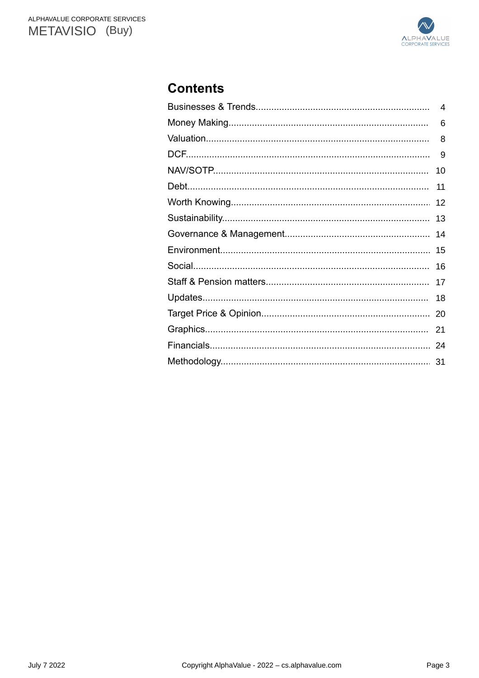

# **Contents**

| 4  |
|----|
| 6  |
| 8  |
| 9  |
| 10 |
| 11 |
| 12 |
| 13 |
| 14 |
| 15 |
| 16 |
| 17 |
| 18 |
| 20 |
| 21 |
|    |
| 31 |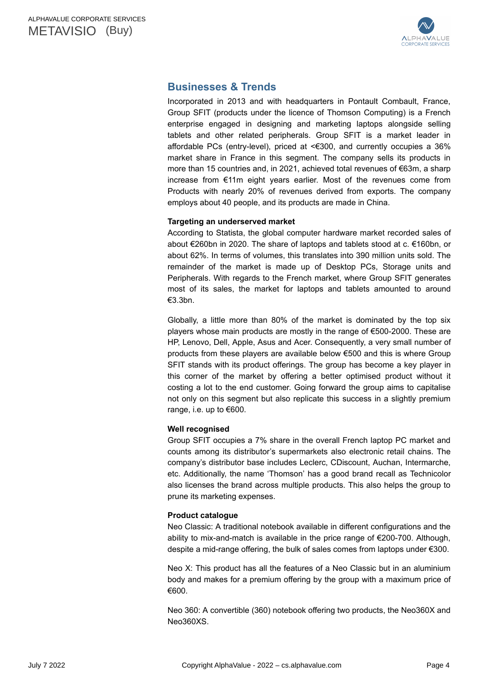

# <span id="page-3-0"></span>**Businesses & Trends**

Incorporated in 2013 and with headquarters in Pontault Combault, France, Group SFIT (products under the licence of Thomson Computing) is a French enterprise engaged in designing and marketing laptops alongside selling tablets and other related peripherals. Group SFIT is a market leader in affordable PCs (entry-level), priced at <€300, and currently occupies a 36% market share in France in this segment. The company sells its products in more than 15 countries and, in 2021, achieved total revenues of €63m, a sharp increase from €11m eight years earlier. Most of the revenues come from Products with nearly 20% of revenues derived from exports. The company employs about 40 people, and its products are made in China.

### **Targeting an underserved market**

According to Statista, the global computer hardware market recorded sales of about €260bn in 2020. The share of laptops and tablets stood at c. €160bn, or about 62%. In terms of volumes, this translates into 390 million units sold. The remainder of the market is made up of Desktop PCs, Storage units and Peripherals. With regards to the French market, where Group SFIT generates most of its sales, the market for laptops and tablets amounted to around €3.3bn.

Globally, a little more than 80% of the market is dominated by the top six players whose main products are mostly in the range of €500-2000. These are HP, Lenovo, Dell, Apple, Asus and Acer. Consequently, a very small number of products from these players are available below €500 and this is where Group SFIT stands with its product offerings. The group has become a key player in this corner of the market by offering a better optimised product without it costing a lot to the end customer. Going forward the group aims to capitalise not only on this segment but also replicate this success in a slightly premium range, i.e. up to €600.

## **Well recognised**

Group SFIT occupies a 7% share in the overall French laptop PC market and counts among its distributor's supermarkets also electronic retail chains. The company's distributor base includes Leclerc, CDiscount, Auchan, Intermarche, etc. Additionally, the name 'Thomson' has a good brand recall as Technicolor also licenses the brand across multiple products. This also helps the group to prune its marketing expenses.

### **Product catalogue**

Neo Classic: A traditional notebook available in different configurations and the ability to mix-and-match is available in the price range of €200-700. Although, despite a mid-range offering, the bulk of sales comes from laptops under €300.

Neo X: This product has all the features of a Neo Classic but in an aluminium body and makes for a premium offering by the group with a maximum price of €600.

Neo 360: A convertible (360) notebook offering two products, the Neo360X and Neo360XS.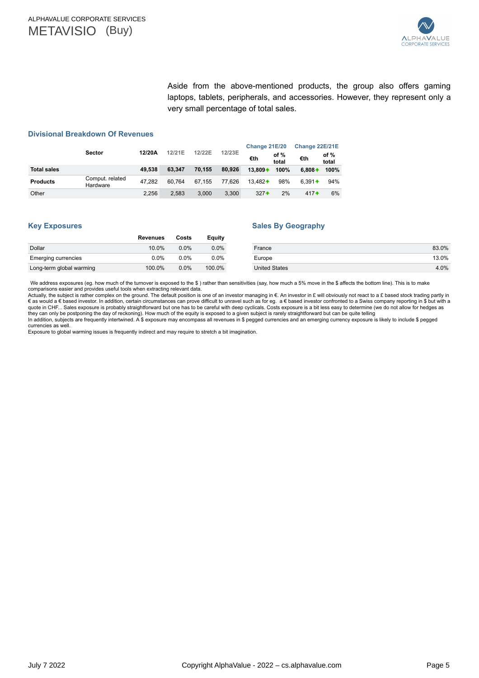

Aside from the above-mentioned products, the group also offers gaming laptops, tablets, peripherals, and accessories. However, they represent only a very small percentage of total sales.

#### **Divisional Breakdown Of Revenues**

|                    |                             |        |        |        |        | Change 22E/21E<br>Change 21E/20 |               |           |               |
|--------------------|-----------------------------|--------|--------|--------|--------|---------------------------------|---------------|-----------|---------------|
|                    | <b>Sector</b>               | 12/20A | 12/21E | 12/22E | 12/23E | €th                             | of %<br>total | €th       | of %<br>total |
| <b>Total sales</b> |                             | 49.538 | 63.347 | 70.155 | 80.926 | $13.809 +$                      | 100%          | $6.808 +$ | 100%          |
| <b>Products</b>    | Comput. related<br>Hardware | 47.282 | 60.764 | 67.155 | 77.626 | $13.482 +$                      | 98%           | $6.391 +$ | 94%           |
| Other              |                             | 2,256  | 2.583  | 3.000  | 3.300  | $327 +$                         | 2%            | $417 +$   | 6%            |

#### **Key Exposures**

#### **Sales By Geography**

|                            | <b>Revenues</b> | Costs   | Equity  |                      |       |
|----------------------------|-----------------|---------|---------|----------------------|-------|
| Dollar                     | 10.0%           | $0.0\%$ | $0.0\%$ | France               | 83.0% |
| <b>Emerging currencies</b> | 0.0%            | $0.0\%$ | $0.0\%$ | Europe               | 13.0% |
| Long-term global warming   | 100.0%          | $0.0\%$ | 100.0%  | <b>United States</b> | 4.0%  |

We address exposures (eg. how much of the turnover is exposed to the \$ ) rather than sensitivities (say, how much a 5% move in the \$ affects the bottom line). This is to make<br>comparisons easier and provides useful tools wh

Actually, the subject is rather complex on the ground. The default position is one of an investor managing in €. An investor in £ will obviously not react to a £ based stock trading partly in<br>€ as would a € based investor

they can only be postponing the day of reckoning). How much of the equity is exposed to a given subject is rarely straightforward but can be quite telling<br>In addition, subjects are frequently intertwined. A \$ exposure may currencies as well.

Exposure to global warming issues is frequently indirect and may require to stretch a bit imagination.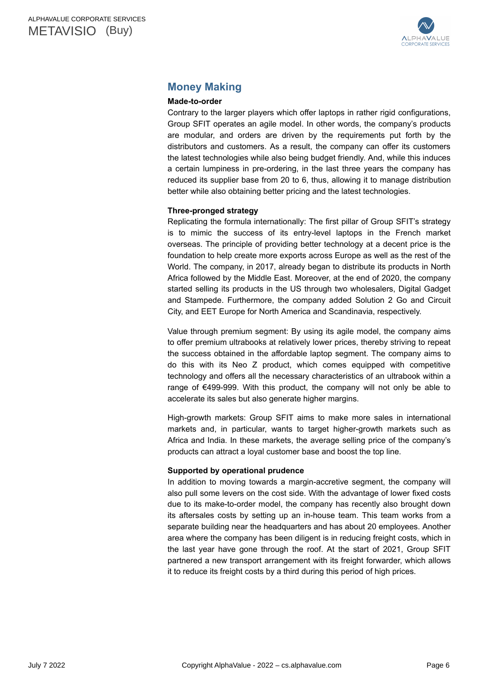

# <span id="page-5-0"></span>**Money Making**

### **Made-to-order**

Contrary to the larger players which offer laptops in rather rigid configurations, Group SFIT operates an agile model. In other words, the company's products are modular, and orders are driven by the requirements put forth by the distributors and customers. As a result, the company can offer its customers the latest technologies while also being budget friendly. And, while this induces a certain lumpiness in pre-ordering, in the last three years the company has reduced its supplier base from 20 to 6, thus, allowing it to manage distribution better while also obtaining better pricing and the latest technologies.

### **Three-pronged strategy**

Replicating the formula internationally: The first pillar of Group SFIT's strategy is to mimic the success of its entry-level laptops in the French market overseas. The principle of providing better technology at a decent price is the foundation to help create more exports across Europe as well as the rest of the World. The company, in 2017, already began to distribute its products in North Africa followed by the Middle East. Moreover, at the end of 2020, the company started selling its products in the US through two wholesalers, Digital Gadget and Stampede. Furthermore, the company added Solution 2 Go and Circuit City, and EET Europe for North America and Scandinavia, respectively.

Value through premium segment: By using its agile model, the company aims to offer premium ultrabooks at relatively lower prices, thereby striving to repeat the success obtained in the affordable laptop segment. The company aims to do this with its Neo Z product, which comes equipped with competitive technology and offers all the necessary characteristics of an ultrabook within a range of  $\epsilon$ 499-999. With this product, the company will not only be able to accelerate its sales but also generate higher margins.

High-growth markets: Group SFIT aims to make more sales in international markets and, in particular, wants to target higher-growth markets such as Africa and India. In these markets, the average selling price of the company's products can attract a loyal customer base and boost the top line.

### **Supported by operational prudence**

In addition to moving towards a margin-accretive segment, the company will also pull some levers on the cost side. With the advantage of lower fixed costs due to its make-to-order model, the company has recently also brought down its aftersales costs by setting up an in-house team. This team works from a separate building near the headquarters and has about 20 employees. Another area where the company has been diligent is in reducing freight costs, which in the last year have gone through the roof. At the start of 2021, Group SFIT partnered a new transport arrangement with its freight forwarder, which allows it to reduce its freight costs by a third during this period of high prices.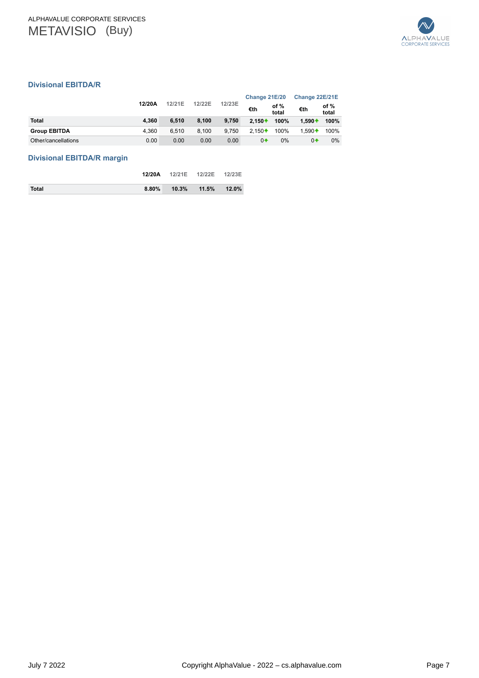

### **Divisional EBITDA/R**

|                     |        |        |        |        | Change 21E/20 |               | Change 22E/21E |                 |
|---------------------|--------|--------|--------|--------|---------------|---------------|----------------|-----------------|
|                     | 12/20A | 12/21E | 12/22E | 12/23E | €th           | of %<br>total | €th            | of $%$<br>total |
| <b>Total</b>        | 4.360  | 6.510  | 8.100  | 9.750  | $2.150 +$     | 100%          | $1.590 +$      | 100%            |
| <b>Group EBITDA</b> | 4.360  | 6.510  | 8.100  | 9.750  | $2.150 +$     | 100%          | $1.590 +$      | 100%            |
| Other/cancellations | 0.00   | 0.00   | 0.00   | 0.00   | $0+$          | 0%            | $0+$           | $0\%$           |

### **Divisional EBITDA/R margin**

|       | 12/20A   | 12/21E  12/22E  12/23E     |  |
|-------|----------|----------------------------|--|
| Total | $8.80\%$ | $10.3\%$ $11.5\%$ $12.0\%$ |  |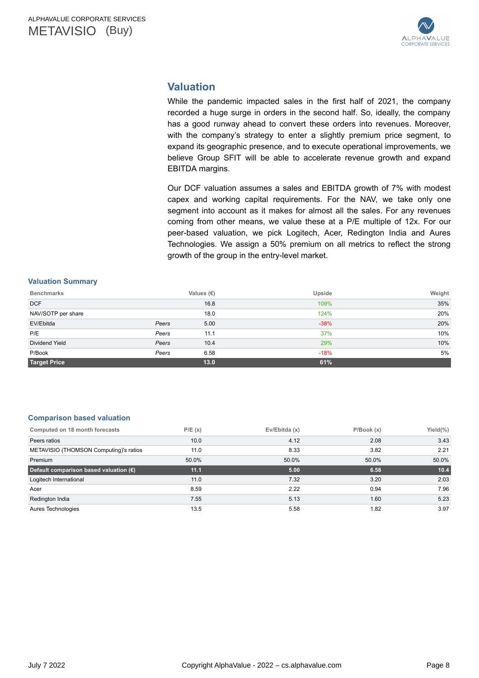

# <span id="page-7-0"></span>**Valuation**

While the pandemic impacted sales in the first half of 2021, the company recorded a huge surge in orders in the second half. So, ideally, the company has a good runway ahead to convert these orders into revenues. Moreover, with the company's strategy to enter a slightly premium price segment, to expand its geographic presence, and to execute operational improvements, we believe Group SFIT will be able to accelerate revenue growth and expand EBITDA margins.

Our DCF valuation assumes a sales and EBITDA growth of 7% with modest capex and working capital requirements. For the NAV, we take only one segment into account as it makes for almost all the sales. For any revenues coming from other means, we value these at a P/E multiple of 12x. For our peer-based valuation, we pick Logitech, Acer, Redington India and Aures Technologies. We assign a 50% premium on all metrics to reflect the strong growth of the group in the entry-level market.

#### **Valuation Summary**

| <b>Benchmarks</b>     |       | Values (€) | Upside | Weight |
|-----------------------|-------|------------|--------|--------|
| <b>DCF</b>            |       | 16.8       | 109%   | 35%    |
| NAV/SOTP per share    |       | 18.0       | 124%   | 20%    |
| EV/Ebitda             | Peers | 5.00       | $-38%$ | 20%    |
| P/E                   | Peers | 11.1       | 37%    | 10%    |
| <b>Dividend Yield</b> | Peers | 10.4       | 29%    | 10%    |
| P/Book                | Peers | 6.58       | $-18%$ | 5%     |
| <b>Target Price</b>   |       | 13.0       | 61%    |        |

#### **Comparison based valuation**

| Computed on 18 month forecasts                  | P/E(x) | Ev/Ebitda (x) | P/Book(x) | Yield $(\%)$ |
|-------------------------------------------------|--------|---------------|-----------|--------------|
| Peers ratios                                    | 10.0   | 4.12          | 2.08      | 3.43         |
| METAVISIO (THOMSON Computing)'s ratios          | 11.0   | 8.33          | 3.82      | 2.21         |
| Premium                                         | 50.0%  | 50.0%         | 50.0%     | 50.0%        |
| Default comparison based valuation $(\epsilon)$ | 11.1   | 5.00          | 6.58      | 10.4         |
| Logitech International                          | 11.0   | 7.32          | 3.20      | 2.03         |
| Acer                                            | 8.59   | 2.22          | 0.94      | 7.96         |
| Redington India                                 | 7.55   | 5.13          | 1.60      | 5.23         |
| Aures Technologies                              | 13.5   | 5.58          | 1.82      | 3.97         |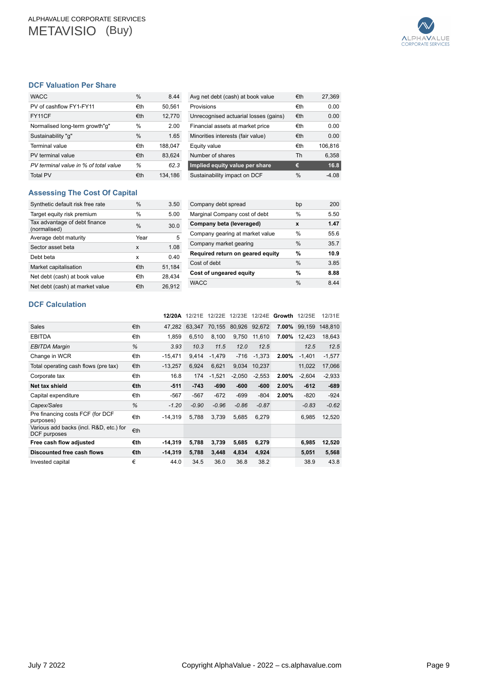

### <span id="page-8-0"></span>**DCF Valuation Per Share**

| <b>WACC</b>                           | $\frac{0}{0}$ | 8.44    |
|---------------------------------------|---------------|---------|
| PV of cashflow FY1-FY11               | €th           | 50,561  |
| FY11CF                                | €th           | 12,770  |
| Normalised long-term growth"g"        | $\frac{0}{0}$ | 2.00    |
| Sustainability "q"                    | $\frac{0}{0}$ | 1.65    |
| Terminal value                        | €th           | 188,047 |
| PV terminal value                     | €th           | 83.624  |
| PV terminal value in % of total value | %             | 62.3    |
| <b>Total PV</b>                       | €th           | 134,186 |

| Avg net debt (cash) at book value     | €th           | 27,369  |
|---------------------------------------|---------------|---------|
| Provisions                            | €th           | 0.00    |
| Unrecognised actuarial losses (gains) | €th           | 0.00    |
| Financial assets at market price      | €th           | 0.00    |
| Minorities interests (fair value)     | €th           | 0.00    |
| Equity value                          | €th           | 106,816 |
| Number of shares                      | Th            | 6,358   |
| Implied equity value per share        | €             | 16.8    |
| Sustainability impact on DCF          | $\frac{0}{0}$ | -4.08   |

### **Assessing The Cost Of Capital**

| Synthetic default risk free rate              | $\frac{0}{0}$ | 3.50   |
|-----------------------------------------------|---------------|--------|
| Target equity risk premium                    | $\frac{0}{0}$ | 5.00   |
| Tax advantage of debt finance<br>(normalised) | $\frac{0}{0}$ | 30.0   |
| Average debt maturity                         | Year          | 5      |
| Sector asset beta                             | x             | 1.08   |
| Debt beta                                     | x             | 0.40   |
| Market capitalisation                         | €th           | 51,184 |
| Net debt (cash) at book value                 | €th           | 28,434 |
| Net debt (cash) at market value               | €th           | 26.912 |

| Company debt spread              | bp            | 200  |
|----------------------------------|---------------|------|
| Marginal Company cost of debt    | $\frac{0}{0}$ | 5.50 |
| Company beta (leveraged)         | x             | 1.47 |
| Company gearing at market value  | $\frac{0}{0}$ | 55.6 |
| Company market gearing           | $\frac{0}{0}$ | 35.7 |
| Required return on geared equity | %             | 10.9 |
| Cost of debt                     | $\frac{0}{0}$ | 3.85 |
| Cost of ungeared equity          | %             | 8.88 |
| <b>WACC</b>                      | $\frac{0}{0}$ | 844  |

### **DCF Calculation**

|                                                         |     | 12/20A    | 12/21E  | 12/22E   | 12/23E   | 12/24E        | Growth 12/25E |              | 12/31E   |
|---------------------------------------------------------|-----|-----------|---------|----------|----------|---------------|---------------|--------------|----------|
| Sales                                                   | €th | 47.282    | 63.347  | 70.155   |          | 80,926 92,672 | 7.00%         | 99.159       | 148,810  |
| <b>EBITDA</b>                                           | €th | 1,859     | 6.510   | 8,100    | 9,750    | 11,610        |               | 7.00% 12,423 | 18,643   |
| <b>EBITDA Margin</b>                                    | %   | 3.93      | 10.3    | 11.5     | 12.0     | 12.5          |               | 12.5         | 12.5     |
| Change in WCR                                           | €th | $-15,471$ | 9.414   | $-1,479$ | $-716$   | $-1,373$      | 2.00%         | $-1,401$     | $-1,577$ |
| Total operating cash flows (pre tax)                    | €th | $-13,257$ | 6.924   | 6,621    | 9.034    | 10,237        |               | 11,022       | 17,066   |
| Corporate tax                                           | €th | 16.8      | 174     | $-1,521$ | $-2,050$ | $-2,553$      | 2.00%         | $-2,604$     | $-2,933$ |
| Net tax shield                                          | €th | $-511$    | $-743$  | $-690$   | -600     | $-600$        | 2.00%         | $-612$       | $-689$   |
| Capital expenditure                                     | €th | $-567$    | $-567$  | $-672$   | $-699$   | $-804$        | 2.00%         | $-820$       | $-924$   |
| Capex/Sales                                             | %   | $-1.20$   | $-0.90$ | $-0.96$  | $-0.86$  | $-0.87$       |               | $-0.83$      | $-0.62$  |
| Pre financing costs FCF (for DCF<br>purposes)           | €th | $-14,319$ | 5,788   | 3,739    | 5,685    | 6,279         |               | 6,985        | 12,520   |
| Various add backs (incl. R&D, etc.) for<br>DCF purposes | €th |           |         |          |          |               |               |              |          |
| Free cash flow adjusted                                 | €th | $-14,319$ | 5,788   | 3,739    | 5,685    | 6,279         |               | 6,985        | 12,520   |
| Discounted free cash flows                              | €th | $-14,319$ | 5.788   | 3,448    | 4,834    | 4,924         |               | 5,051        | 5,568    |
| Invested capital                                        | €   | 44.0      | 34.5    | 36.0     | 36.8     | 38.2          |               | 38.9         | 43.8     |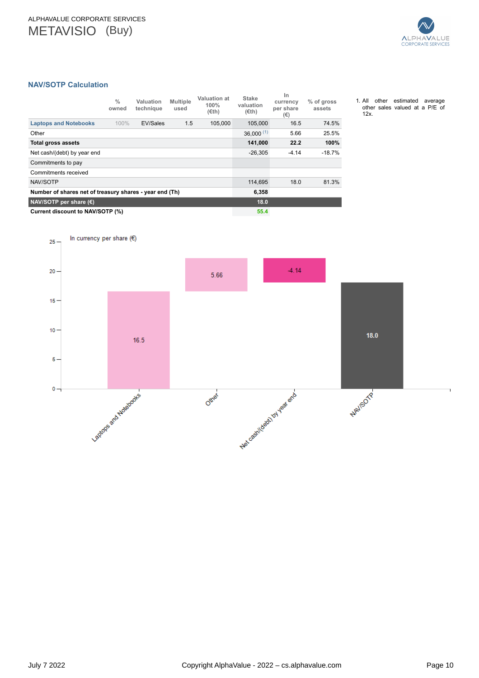In currency per share  $(6)$ 

 $16.5$ 

Lagtons and Holstocks



### <span id="page-9-0"></span>**NAV/SOTP Calculation**

 $25 -$ 

 $20 -$ 

 $15 -$ 

 $10 -$ 

 $5 -$ 

 $0 -$ 

|                                                         | $\frac{0}{0}$<br>owned | Valuation<br>technique | <b>Multiple</b><br>used | Valuation at<br>100%<br>$(\epsilon th)$ | <b>Stake</b><br>valuation<br>$(\epsilon$ th) | In<br>currency<br>per share<br>(€) | % of gross<br>assets |
|---------------------------------------------------------|------------------------|------------------------|-------------------------|-----------------------------------------|----------------------------------------------|------------------------------------|----------------------|
| <b>Laptops and Notebooks</b>                            | 100%                   | EV/Sales               | 1.5                     | 105.000                                 | 105.000                                      | 16.5                               | 74.5%                |
| Other                                                   |                        |                        |                         |                                         | $36,000^{(1)}$                               | 5.66                               | 25.5%                |
| <b>Total gross assets</b>                               |                        |                        |                         |                                         | 141.000                                      | 22.2                               | 100%                 |
| Net cash/(debt) by year end                             | $-26,305$              | $-4.14$                | $-18.7%$                |                                         |                                              |                                    |                      |
| Commitments to pay                                      |                        |                        |                         |                                         |                                              |                                    |                      |
| Commitments received                                    |                        |                        |                         |                                         |                                              |                                    |                      |
| NAV/SOTP                                                |                        |                        |                         |                                         | 114,695                                      | 18.0                               | 81.3%                |
| Number of shares net of treasury shares - year end (Th) | 6,358                  |                        |                         |                                         |                                              |                                    |                      |
| NAV/SOTP per share $(\epsilon)$                         |                        |                        |                         |                                         |                                              |                                    |                      |
| Current discount to NAV/SOTP (%)                        |                        |                        |                         |                                         |                                              |                                    |                      |

5.66

Other

 $18.0$ 

NAVISOTP

Net coefficeboxy by your end

 $-4.14$ 

<sup>1.</sup> All other estimated average other sales valued at a P/E of 12x.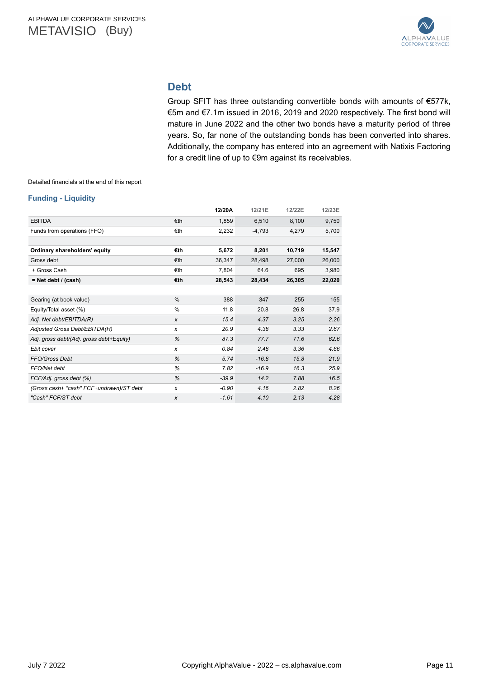

# **Debt**

Group SFIT has three outstanding convertible bonds with amounts of €577k, €5m and €7.1m issued in 2016, 2019 and 2020 respectively. The first bond will mature in June 2022 and the other two bonds have a maturity period of three years. So, far none of the outstanding bonds has been converted into shares. Additionally, the company has entered into an agreement with Natixis Factoring for a credit line of up to €9m against its receivables.

<span id="page-10-0"></span>Detailed financials at the end of this report

#### **Funding - Liquidity**

|                                          |               | 12/20A  | 12/21E   | 12/22E | 12/23E |
|------------------------------------------|---------------|---------|----------|--------|--------|
| <b>EBITDA</b>                            | €th           | 1,859   | 6,510    | 8,100  | 9,750  |
| Funds from operations (FFO)              | €th           | 2,232   | $-4,793$ | 4,279  | 5,700  |
|                                          |               |         |          |        |        |
| Ordinary shareholders' equity            | €th           | 5,672   | 8,201    | 10,719 | 15,547 |
| Gross debt                               | €th           | 36,347  | 28,498   | 27,000 | 26,000 |
| + Gross Cash                             | €th           | 7,804   | 64.6     | 695    | 3,980  |
| $=$ Net debt / (cash)                    | €th           | 28,543  | 28,434   | 26,305 | 22,020 |
|                                          |               |         |          |        |        |
| Gearing (at book value)                  | $\%$          | 388     | 347      | 255    | 155    |
| Equity/Total asset (%)                   | $\frac{0}{0}$ | 11.8    | 20.8     | 26.8   | 37.9   |
| Adj. Net debt/EBITDA(R)                  | X             | 15.4    | 4.37     | 3.25   | 2.26   |
| Adjusted Gross Debt/EBITDA(R)            | x             | 20.9    | 4.38     | 3.33   | 2.67   |
| Adj. gross debt/(Adj. gross debt+Equity) | %             | 87.3    | 77.7     | 71.6   | 62.6   |
| Ebit cover                               | x             | 0.84    | 2.48     | 3.36   | 4.66   |
| FFO/Gross Debt                           | %             | 5.74    | $-16.8$  | 15.8   | 21.9   |
| FFO/Net debt                             | %             | 7.82    | $-16.9$  | 16.3   | 25.9   |
| FCF/Adj. gross debt (%)                  | %             | $-39.9$ | 14.2     | 7.88   | 16.5   |
| (Gross cash+ "cash" FCF+undrawn)/ST debt | x             | $-0.90$ | 4.16     | 2.82   | 8.26   |
| "Cash" FCF/ST debt                       | X             | $-1.61$ | 4.10     | 2.13   | 4.28   |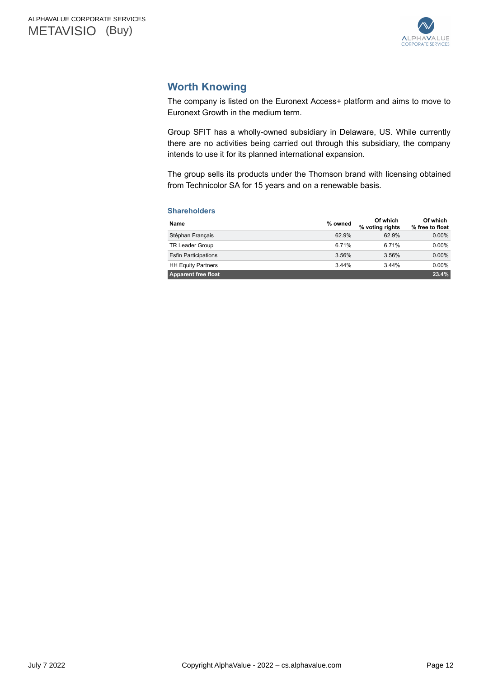

# <span id="page-11-0"></span>**Worth Knowing**

The company is listed on the Euronext Access+ platform and aims to move to Euronext Growth in the medium term.

Group SFIT has a wholly-owned subsidiary in Delaware, US. While currently there are no activities being carried out through this subsidiary, the company intends to use it for its planned international expansion.

The group sells its products under the Thomson brand with licensing obtained from Technicolor SA for 15 years and on a renewable basis.

### **Shareholders**

| Name                        | % owned | Of which<br>% voting rights | Of which<br>% free to float |
|-----------------------------|---------|-----------------------------|-----------------------------|
| Stéphan Français            | 62.9%   | 62.9%                       | $0.00\%$                    |
| <b>TR Leader Group</b>      | 6.71%   | 6.71%                       | $0.00\%$                    |
| <b>Esfin Participations</b> | 3.56%   | 3.56%                       | $0.00\%$                    |
| <b>HH Equity Partners</b>   | 3.44%   | 344%                        | $0.00\%$                    |
| <b>Apparent free float</b>  |         |                             | 23.4%                       |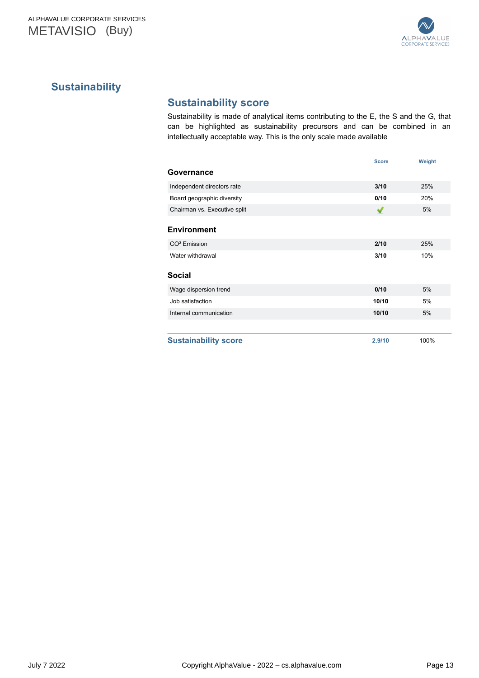

# <span id="page-12-0"></span>**Sustainability**

# **Sustainability score**

Sustainability is made of analytical items contributing to the E, the S and the G, that can be highlighted as sustainability precursors and can be combined in an intellectually acceptable way. This is the only scale made available

|                              | <b>Score</b> | Weight |
|------------------------------|--------------|--------|
| Governance                   |              |        |
| Independent directors rate   | 3/10         | 25%    |
| Board geographic diversity   | 0/10         | 20%    |
| Chairman vs. Executive split | ✔            | 5%     |
| <b>Environment</b>           |              |        |
| CO <sup>2</sup> Emission     | 2/10         | 25%    |
| Water withdrawal             | 3/10         | 10%    |
| <b>Social</b>                |              |        |
| Wage dispersion trend        | 0/10         | 5%     |
| Job satisfaction             | 10/10        | 5%     |
| Internal communication       | 10/10        | 5%     |
|                              |              |        |
| <b>Sustainability score</b>  | 2.9/10       | 100%   |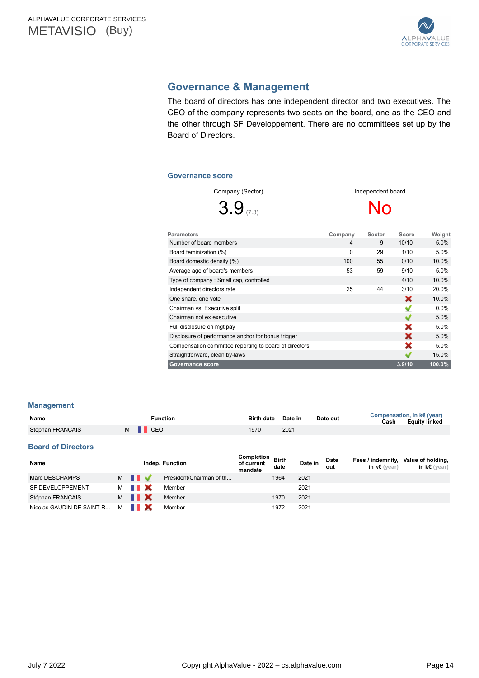

# <span id="page-13-0"></span>**Governance & Management**

The board of directors has one independent director and two executives. The CEO of the company represents two seats on the board, one as the CEO and the other through SF Developpement. There are no committees set up by the Board of Directors.

#### **Governance score**

| Company (Sector)<br>$3.9$ <sub>(7.3)</sub> | Independent board<br>No |        |       |         |  |  |
|--------------------------------------------|-------------------------|--------|-------|---------|--|--|
| <b>Parameters</b>                          | Company                 | Sector | Score | Weight  |  |  |
| Number of board members                    | $\overline{4}$          | 9      | 10/10 | 5.0%    |  |  |
| Board feminization (%)                     | 0                       | 29     | 1/10  | 5.0%    |  |  |
| Board domestic density (%)                 | 100                     | 55     | 0/10  | 10.0%   |  |  |
| Average age of board's members             | 53                      | 59     | 9/10  | 5.0%    |  |  |
| Type of company: Small cap, controlled     |                         |        | 4/10  | 10.0%   |  |  |
| Independent directors rate                 | 25                      | 44     | 3/10  | 20.0%   |  |  |
| One share, one vote                        |                         |        | x     | 10.0%   |  |  |
| Chairman vs. Executive split               |                         |        |       | $0.0\%$ |  |  |
| Chairman not ex executive                  |                         |        |       | 5.0%    |  |  |

Full disclosure on mgt pay 5.0%<br>Disclosure of performance anchor for bonus trigger 5.0% 5.0% Disclosure of performance anchor for bonus trigger 5.0% 5.0% Compensation committee reporting to board of directors 5.0% Straightforward, clean by-laws 15.0% and the control of the control of the control of the control of the control of the control of the control of the control of the control of the control of the control of the control of t **Governance score 3.9/10 100.0%**

| <b>Management</b> |  |  |  |
|-------------------|--|--|--|

| Name             | <b>Function</b> | Birth date Date in |      | Date out | Cash | Compensation, in k€ (year)<br><b>Equity linked</b> |
|------------------|-----------------|--------------------|------|----------|------|----------------------------------------------------|
| Stéphan FRANCAIS | M CEO           | 1970               | 2021 |          |      |                                                    |
|                  |                 |                    |      |          |      |                                                    |

### **Board of Directors**

| Name                      |   |      | Indep. Function          | Completion<br>of current<br>mandate | <b>Birth</b><br>date | Date in | Date<br>out | Fees / indemnity,<br>in $k \in (\text{year})$ | Value of holding,<br>in k $\epsilon$ (year) |
|---------------------------|---|------|--------------------------|-------------------------------------|----------------------|---------|-------------|-----------------------------------------------|---------------------------------------------|
| Marc DESCHAMPS            | M |      | President/Chairman of th |                                     | 1964                 | 2021    |             |                                               |                                             |
| SF DEVELOPPEMENT          | м | II X | Member                   |                                     |                      | 2021    |             |                                               |                                             |
| Stéphan FRANCAIS          | M | II X | Member                   |                                     | 1970                 | 2021    |             |                                               |                                             |
| Nicolas GAUDIN DE SAINT-R | M |      | Member                   |                                     | 1972                 | 2021    |             |                                               |                                             |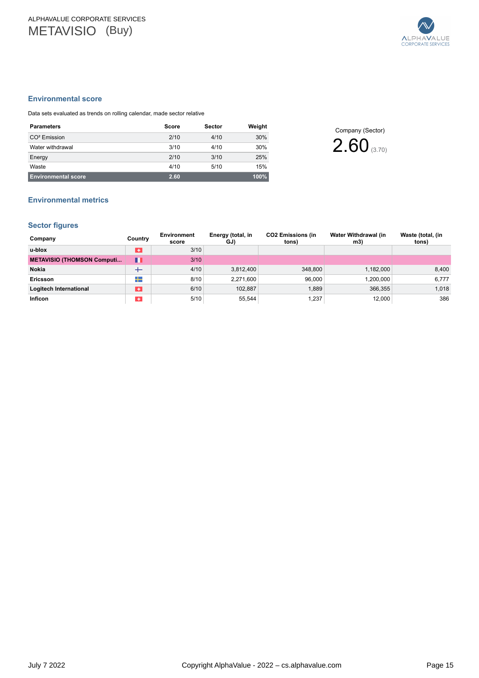

#### <span id="page-14-0"></span>**Environmental score**

Data sets evaluated as trends on rolling calendar, made sector relative

| <b>Parameters</b>          | Score | <b>Sector</b> | Weight |
|----------------------------|-------|---------------|--------|
| $CO2$ Emission             | 2/10  | 4/10          | 30%    |
| Water withdrawal           | 3/10  | 4/10          | 30%    |
| Energy                     | 2/10  | 3/10          | 25%    |
| Waste                      | 4/10  | 5/10          | 15%    |
| <b>Environmental score</b> | 2.60  |               | 100%   |

Company (Sector) 2.60(3.70)

# **Environmental metrics**

### **Sector figures**

| Company                           | Country   | Environment<br>score | Energy (total, in<br>GJ) | <b>CO2 Emissions (in</b><br>tons) | Water Withdrawal (in<br>m3) | Waste (total, (in<br>tons) |
|-----------------------------------|-----------|----------------------|--------------------------|-----------------------------------|-----------------------------|----------------------------|
| u-blox                            | $\bullet$ | 3/10                 |                          |                                   |                             |                            |
| <b>METAVISIO (THOMSON Computi</b> | M         | 3/10                 |                          |                                   |                             |                            |
| Nokia                             | $^+$      | 4/10                 | 3,812,400                | 348,800                           | 1,182,000                   | 8,400                      |
| Ericsson                          | ┶         | 8/10                 | 2.271.600                | 96.000                            | 1,200,000                   | 6,777                      |
| Logitech International            | ÷         | 6/10                 | 102.887                  | 1.889                             | 366,355                     | 1,018                      |
| <b>Inficon</b>                    | $\ddot{}$ | 5/10                 | 55,544                   | 1,237                             | 12,000                      | 386                        |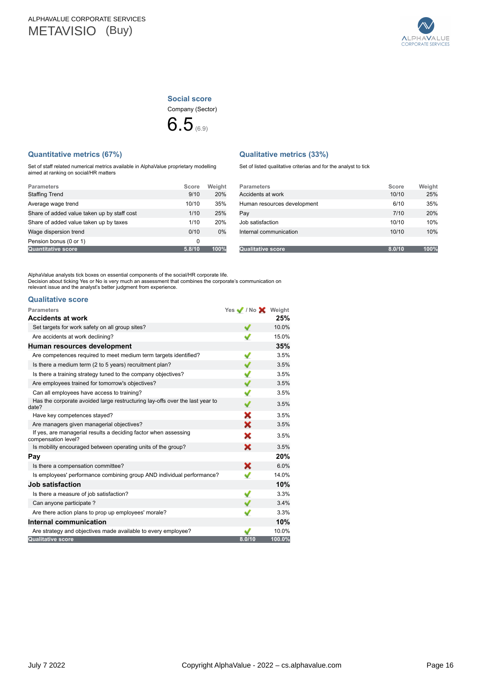

Company (Sector) **Social score**



### <span id="page-15-0"></span>**Quantitative metrics (67%)**

Set of staff related numerical metrics available in AlphaValue proprietary modelling aimed at ranking on social/HR matters

|  | <b>Qualitative metrics (33%)</b> |  |
|--|----------------------------------|--|
|--|----------------------------------|--|

Set of listed qualitative criterias and for the analyst to tick

| <b>Parameters</b>                           | Score  | Weight |
|---------------------------------------------|--------|--------|
| <b>Staffing Trend</b>                       | 9/10   | 20%    |
| Average wage trend                          | 10/10  | 35%    |
| Share of added value taken up by staff cost | 1/10   | 25%    |
| Share of added value taken up by taxes      | 1/10   | 20%    |
| Wage dispersion trend                       | 0/10   | 0%     |
| Pension bonus (0 or 1)                      | 0      |        |
| <b>Quantitative score</b>                   | 5.8/10 | 100%   |

| <b>Parameters</b>           | Score  | Weight |
|-----------------------------|--------|--------|
| Accidents at work           | 10/10  | 25%    |
| Human resources development | 6/10   | 35%    |
| Pay                         | 7/10   | 20%    |
| Job satisfaction            | 10/10  | 10%    |
| Internal communication      | 10/10  | 10%    |
|                             |        |        |
| <b>Qualitative score</b>    | 8.0/10 | 100%   |

AlphaValue analysts tick boxes on essential components of the social/HR corporate life.<br>Decision about ticking Yes or No is very much an assessment that combines the corporate's communication on<br>relevant issue and the anal

#### **Qualitative score**

| <b>Parameters</b>                                                                      | Yes / / No X Weight |        |
|----------------------------------------------------------------------------------------|---------------------|--------|
| <b>Accidents at work</b>                                                               |                     | 25%    |
| Set targets for work safety on all group sites?                                        |                     | 10.0%  |
| Are accidents at work declining?                                                       |                     | 15.0%  |
| Human resources development                                                            |                     | 35%    |
| Are competences required to meet medium term targets identified?                       | ✔                   | 3.5%   |
| Is there a medium term (2 to 5 years) recruitment plan?                                |                     | 3.5%   |
| Is there a training strategy tuned to the company objectives?                          | ✔                   | 3.5%   |
| Are employees trained for tomorrow's objectives?                                       |                     | 3.5%   |
| Can all employees have access to training?                                             | ✔                   | 3.5%   |
| Has the corporate avoided large restructuring lay-offs over the last year to<br>date?  |                     | 3.5%   |
| Have key competences stayed?                                                           | x                   | 3.5%   |
| Are managers given managerial objectives?                                              | x                   | 3.5%   |
| If yes, are managerial results a deciding factor when assessing<br>compensation level? | x                   | 3.5%   |
| Is mobility encouraged between operating units of the group?                           | ×                   | 3.5%   |
| Pay                                                                                    |                     | 20%    |
| Is there a compensation committee?                                                     | x                   | 6.0%   |
| Is employees' performance combining group AND individual performance?                  | v                   | 14.0%  |
| Job satisfaction                                                                       |                     | 10%    |
| Is there a measure of job satisfaction?                                                |                     | 3.3%   |
| Can anyone participate?                                                                |                     | 3.4%   |
| Are there action plans to prop up employees' morale?                                   |                     | 3.3%   |
| Internal communication                                                                 |                     | 10%    |
| Are strategy and objectives made available to every employee?                          |                     | 10.0%  |
| <b>Qualitative score</b>                                                               | 8.0/10              | 100.0% |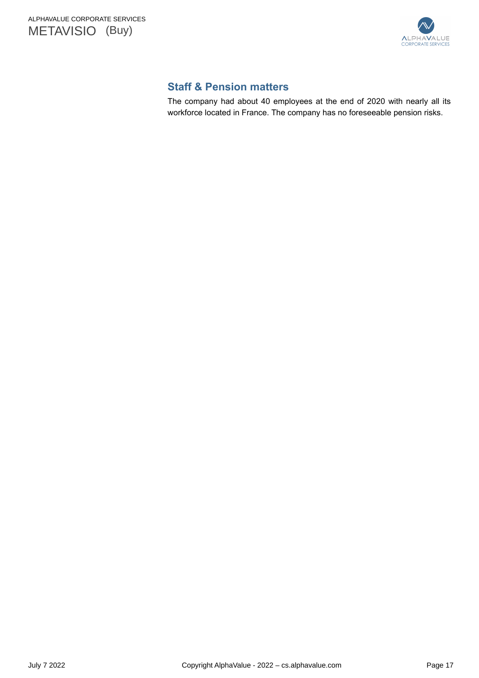<span id="page-16-0"></span>



# **Staff & Pension matters**

The company had about 40 employees at the end of 2020 with nearly all its workforce located in France. The company has no foreseeable pension risks.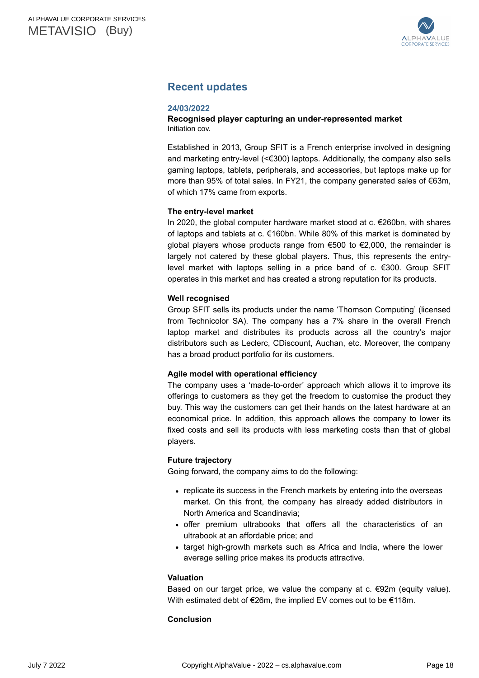

# <span id="page-17-0"></span>**Recent updates**

### **24/03/2022**

### **Recognised player capturing an under-represented market**  Initiation cov.

Established in 2013, Group SFIT is a French enterprise involved in designing and marketing entry-level (<€300) laptops. Additionally, the company also sells gaming laptops, tablets, peripherals, and accessories, but laptops make up for more than 95% of total sales. In FY21, the company generated sales of €63m, of which 17% came from exports.

### **The entry-level market**

In 2020, the global computer hardware market stood at c. €260bn, with shares of laptops and tablets at c. €160bn. While 80% of this market is dominated by global players whose products range from €500 to €2,000, the remainder is largely not catered by these global players. Thus, this represents the entrylevel market with laptops selling in a price band of c. €300. Group SFIT operates in this market and has created a strong reputation for its products.

### **Well recognised**

Group SFIT sells its products under the name 'Thomson Computing' (licensed from Technicolor SA). The company has a 7% share in the overall French laptop market and distributes its products across all the country's major distributors such as Leclerc, CDiscount, Auchan, etc. Moreover, the company has a broad product portfolio for its customers.

### **Agile model with operational efficiency**

The company uses a 'made-to-order' approach which allows it to improve its offerings to customers as they get the freedom to customise the product they buy. This way the customers can get their hands on the latest hardware at an economical price. In addition, this approach allows the company to lower its fixed costs and sell its products with less marketing costs than that of global players.

### **Future trajectory**

Going forward, the company aims to do the following:

- replicate its success in the French markets by entering into the overseas market. On this front, the company has already added distributors in North America and Scandinavia;
- offer premium ultrabooks that offers all the characteristics of an ultrabook at an affordable price; and
- target high-growth markets such as Africa and India, where the lower average selling price makes its products attractive.

### **Valuation**

Based on our target price, we value the company at  $c. \in 92m$  (equity value). With estimated debt of €26m, the implied EV comes out to be €118m.

### **Conclusion**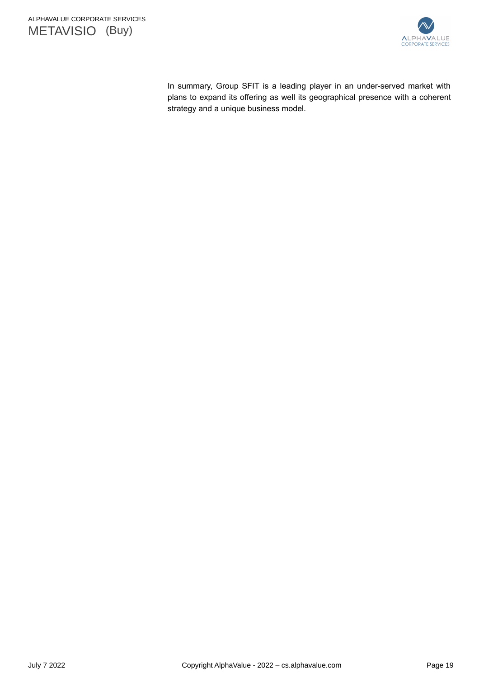



In summary, Group SFIT is a leading player in an under-served market with plans to expand its offering as well its geographical presence with a coherent strategy and a unique business model.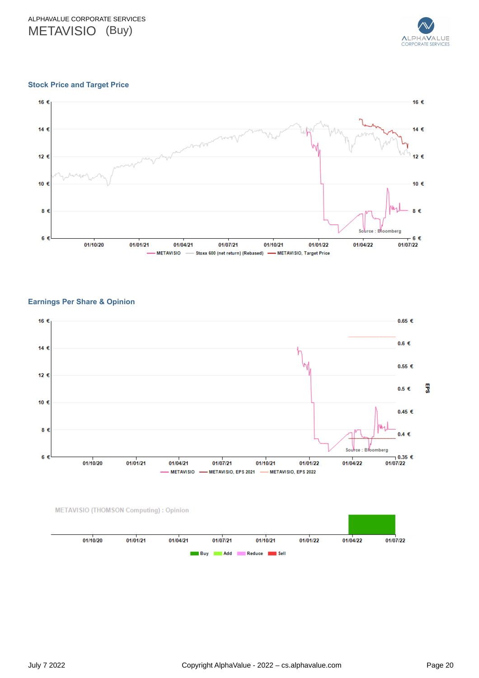

### <span id="page-19-0"></span>**Stock Price and Target Price**



### **Earnings Per Share & Opinion**



| 01/10/20 | 01/01/21 | 01/04/21 | 01/07/21            | 01/10/21    | 01/01/22 | 01/04/22 | 01/07/22 |
|----------|----------|----------|---------------------|-------------|----------|----------|----------|
|          |          |          | <b>Add</b><br>∎ Buy | Reduce Sell |          |          |          |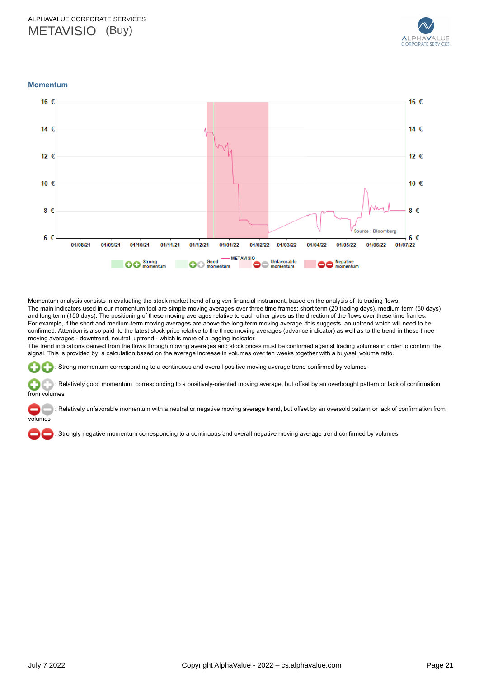

<span id="page-20-0"></span>**Momentum**



Momentum analysis consists in evaluating the stock market trend of a given financial instrument, based on the analysis of its trading flows. The main indicators used in our momentum tool are simple moving averages over three time frames: short term (20 trading days), medium term (50 days) and long term (150 days). The positioning of these moving averages relative to each other gives us the direction of the flows over these time frames. For example, if the short and medium-term moving averages are above the long-term moving average, this suggests an uptrend which will need to be confirmed. Attention is also paid to the latest stock price relative to the three moving averages (advance indicator) as well as to the trend in these three moving averages - downtrend, neutral, uptrend - which is more of a lagging indicator.

The trend indications derived from the flows through moving averages and stock prices must be confirmed against trading volumes in order to confirm the signal. This is provided by a calculation based on the average increase in volumes over ten weeks together with a buy/sell volume ratio.

: Strong momentum corresponding to a continuous and overall positive moving average trend confirmed by volumes

 : Relatively good momentum corresponding to a positively-oriented moving average, but offset by an overbought pattern or lack of confirmation from volumes

 : Relatively unfavorable momentum with a neutral or negative moving average trend, but offset by an oversold pattern or lack of confirmation from volumes

: Strongly negative momentum corresponding to a continuous and overall negative moving average trend confirmed by volumes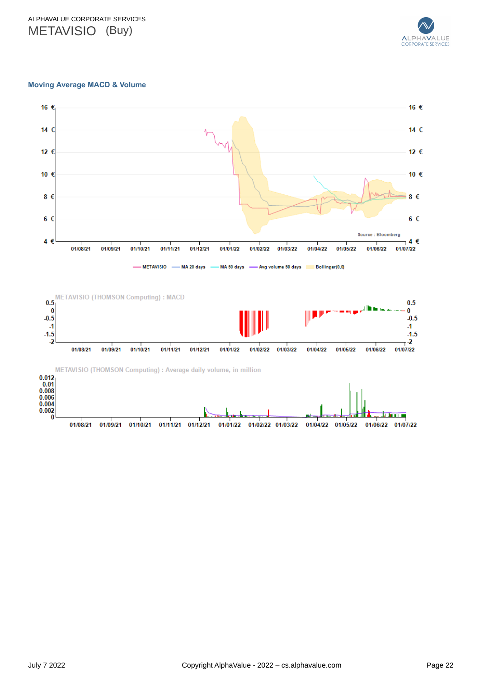

### **Moving Average MACD & Volume**



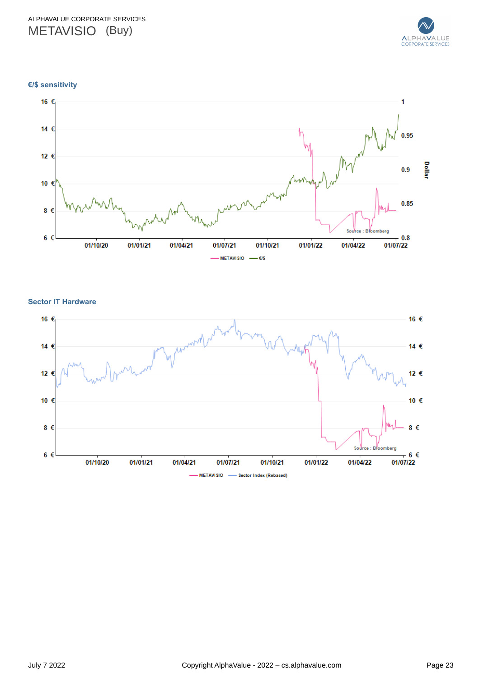

**€/\$ sensitivity**



**Sector IT Hardware**

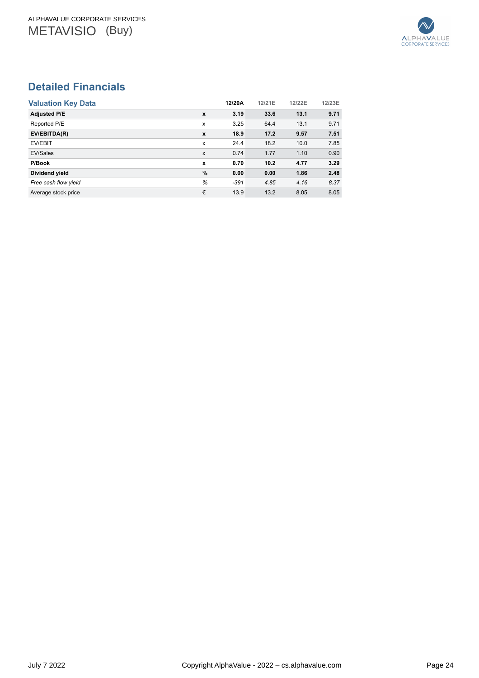

# <span id="page-23-0"></span>**Detailed Financials**

| <b>Valuation Key Data</b> |              | 12/20A | 12/21E | 12/22E | 12/23E |
|---------------------------|--------------|--------|--------|--------|--------|
| <b>Adjusted P/E</b>       | $\mathbf{x}$ | 3.19   | 33.6   | 13.1   | 9.71   |
| Reported P/E              | x            | 3.25   | 64.4   | 13.1   | 9.71   |
| EV/EBITDA(R)              | $\mathbf{x}$ | 18.9   | 17.2   | 9.57   | 7.51   |
| EV/EBIT                   | X            | 24.4   | 18.2   | 10.0   | 7.85   |
| EV/Sales                  | X            | 0.74   | 1.77   | 1.10   | 0.90   |
| P/Book                    | x            | 0.70   | 10.2   | 4.77   | 3.29   |
| Dividend yield            | %            | 0.00   | 0.00   | 1.86   | 2.48   |
| Free cash flow yield      | %            | $-391$ | 4.85   | 4.16   | 8.37   |
| Average stock price       | €            | 13.9   | 13.2   | 8.05   | 8.05   |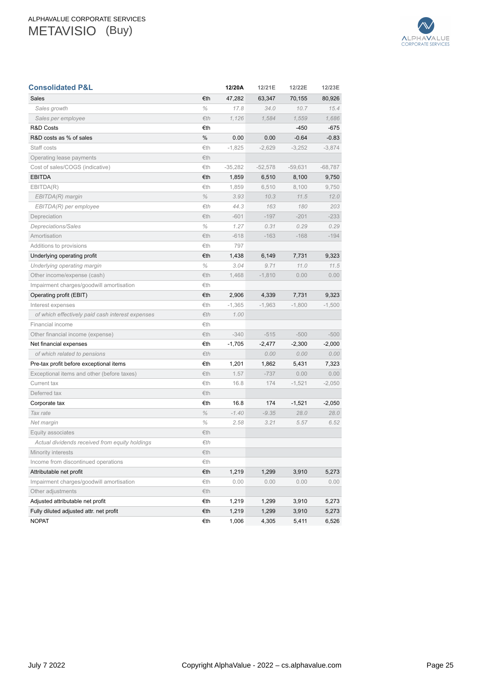

| <b>Consolidated P&amp;L</b>                      |          | 12/20A    | 12/21E    | 12/22E    | 12/23E    |
|--------------------------------------------------|----------|-----------|-----------|-----------|-----------|
| Sales                                            | €th      | 47,282    | 63,347    | 70,155    | 80,926    |
| Sales growth                                     | $\%$     | 17.8      | 34.0      | 10.7      | 15.4      |
| Sales per employee                               | Eth      | 1,126     | 1,584     | 1,559     | 1,686     |
| <b>R&amp;D Costs</b>                             | €th      |           |           | $-450$    | $-675$    |
| R&D costs as % of sales                          | %        | 0.00      | 0.00      | $-0.64$   | $-0.83$   |
| Staff costs                                      | €th      | $-1,825$  | $-2,629$  | $-3,252$  | $-3,874$  |
| Operating lease payments                         | €th      |           |           |           |           |
| Cost of sales/COGS (indicative)                  | €th      | $-35,282$ | $-52,578$ | $-59,631$ | $-68,787$ |
| <b>EBITDA</b>                                    | €th      | 1,859     | 6,510     | 8,100     | 9,750     |
| EBITDA(R)                                        | €th      | 1,859     | 6,510     | 8,100     | 9,750     |
| EBITDA(R) margin                                 | $\%$     | 3.93      | 10.3      | 11.5      | 12.0      |
| EBITDA(R) per employee                           | €th      | 44.3      | 163       | 180       | 203       |
| Depreciation                                     | €th      | $-601$    | $-197$    | $-201$    | $-233$    |
| Depreciations/Sales                              | $\%$     | 1.27      | 0.31      | 0.29      | 0.29      |
| Amortisation                                     | €th      | $-618$    | $-163$    | $-168$    | $-194$    |
| Additions to provisions                          | €th      | 797       |           |           |           |
| Underlying operating profit                      | €th      | 1,438     | 6,149     | 7,731     | 9,323     |
| Underlying operating margin                      | $\%$     | 3.04      | 9.71      | 11.0      | 11.5      |
| Other income/expense (cash)                      | €th      | 1.468     | $-1,810$  | 0.00      | 0.00      |
| Impairment charges/goodwill amortisation         | €th      |           |           |           |           |
| Operating profit (EBIT)                          | €th      | 2,906     | 4,339     | 7,731     | 9,323     |
| Interest expenses                                | €th      | $-1,365$  | $-1,963$  | $-1,800$  | $-1,500$  |
| of which effectively paid cash interest expenses | €th      | 1.00      |           |           |           |
| Financial income                                 | €th      |           |           |           |           |
| Other financial income (expense)                 | €th      | $-340$    | $-515$    | $-500$    | $-500$    |
| Net financial expenses                           | €th      | $-1,705$  | $-2,477$  | $-2,300$  | $-2,000$  |
| of which related to pensions                     | Eth      |           | 0.00      | 0.00      | 0.00      |
| Pre-tax profit before exceptional items          | €th      | 1,201     | 1,862     | 5,431     | 7,323     |
| Exceptional items and other (before taxes)       | €th      | 1.57      | $-737$    | 0.00      | 0.00      |
| Current tax                                      | €th      | 16.8      | 174       | $-1,521$  | $-2,050$  |
| Deferred tax                                     | €th      |           |           |           |           |
| Corporate tax                                    | €th      | 16.8      | 174       | $-1,521$  | $-2,050$  |
| Tax rate                                         | $\%$     | $-1.40$   | $-9.35$   | 28.0      | 28.0      |
| Net margin                                       | $\%$     | 2.58      | 3.21      | 5.57      | 6.52      |
| Equity associates                                | €th      |           |           |           |           |
| Actual dividends received from equity holdings   | $\in$ th |           |           |           |           |
| Minority interests                               | €th      |           |           |           |           |
| Income from discontinued operations              | €th      |           |           |           |           |
| Attributable net profit                          | €th      | 1,219     | 1,299     | 3,910     | 5,273     |
| Impairment charges/goodwill amortisation         | €th      | 0.00      | 0.00      | 0.00      | 0.00      |
| Other adjustments                                | €th      |           |           |           |           |
| Adjusted attributable net profit                 | €th      | 1,219     | 1,299     | 3,910     | 5,273     |
| Fully diluted adjusted attr. net profit          | €th      | 1,219     | 1,299     | 3,910     | 5,273     |
| <b>NOPAT</b>                                     | €th      | 1,006     | 4,305     | 5,411     | 6,526     |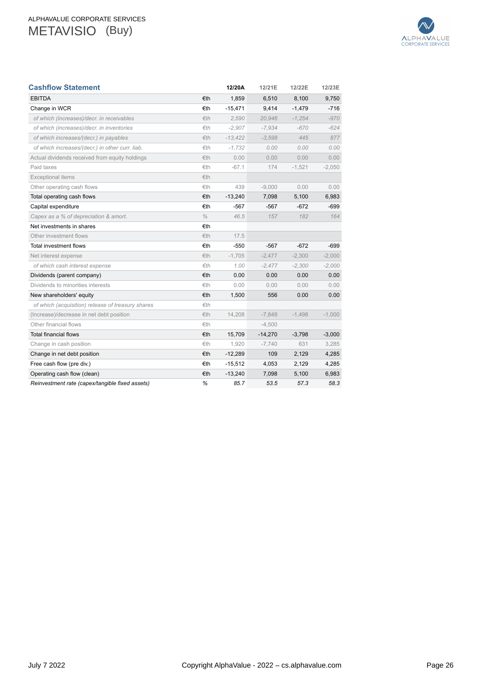

| <b>Cashflow Statement</b>                         |      | 12/20A    | 12/21E    | 12/22E   | 12/23E   |
|---------------------------------------------------|------|-----------|-----------|----------|----------|
| <b>EBITDA</b>                                     | €th  | 1,859     | 6,510     | 8,100    | 9,750    |
| Change in WCR                                     | €th  | -15,471   | 9,414     | $-1,479$ | $-716$   |
| of which (increases)/decr. in receivables         | Eth  | 2.590     | 20.946    | $-1,254$ | $-970$   |
| of which (increases)/decr. in inventories         | Eth  | $-2.907$  | $-7,934$  | $-670$   | $-624$   |
| of which increases/(decr.) in payables            | €th  | $-13.422$ | $-3.598$  | 445      | 877      |
| of which increases/(decr.) in other curr. liab.   | fth  | $-1.732$  | 0.00      | 0.00     | 0.00     |
| Actual dividends received from equity holdings    | €th  | 0.00      | 0.00      | 0.00     | 0.00     |
| Paid taxes                                        | €th  | $-67.1$   | 174       | $-1,521$ | $-2,050$ |
| <b>Exceptional items</b>                          | €th  |           |           |          |          |
| Other operating cash flows                        | €th  | 439       | $-9,000$  | 0.00     | 0.00     |
| Total operating cash flows                        | €th  | $-13,240$ | 7,098     | 5,100    | 6,983    |
| Capital expenditure                               | €th  | $-567$    | $-567$    | $-672$   | -699     |
| Capex as a % of depreciation & amort.             | $\%$ | 46.5      | 157       | 182      | 164      |
| Net investments in shares                         | €th  |           |           |          |          |
| Other investment flows                            | €th  | 17.5      |           |          |          |
| Total investment flows                            | €th  | $-550$    | $-567$    | $-672$   | $-699$   |
| Net interest expense                              | €th  | $-1,705$  | $-2,477$  | $-2,300$ | $-2,000$ |
| of which cash interest expense                    | Eth  | 1.00      | $-2,477$  | $-2,300$ | $-2.000$ |
| Dividends (parent company)                        | €th  | 0.00      | 0.00      | 0.00     | 0.00     |
| Dividends to minorities interests                 | €th  | 0.00      | 0.00      | 0.00     | 0.00     |
| New shareholders' equity                          | €th  | 1,500     | 556       | 0.00     | 0.00     |
| of which (acquisition) release of treasury shares | Eth  |           |           |          |          |
| (Increase)/decrease in net debt position          | €th  | 14,208    | $-7,849$  | $-1,498$ | $-1,000$ |
| Other financial flows                             | €th  |           | $-4,500$  |          |          |
| <b>Total financial flows</b>                      | €th  | 15,709    | $-14,270$ | $-3,798$ | $-3,000$ |
| Change in cash position                           | €th  | 1,920     | $-7,740$  | 631      | 3,285    |
| Change in net debt position                       | €th  | $-12,289$ | 109       | 2,129    | 4,285    |
| Free cash flow (pre div.)                         | €th  | $-15,512$ | 4,053     | 2,129    | 4,285    |
| Operating cash flow (clean)                       | €th  | $-13,240$ | 7,098     | 5,100    | 6,983    |
| Reinvestment rate (capex/tangible fixed assets)   | %    | 85.7      | 53.5      | 57.3     | 58.3     |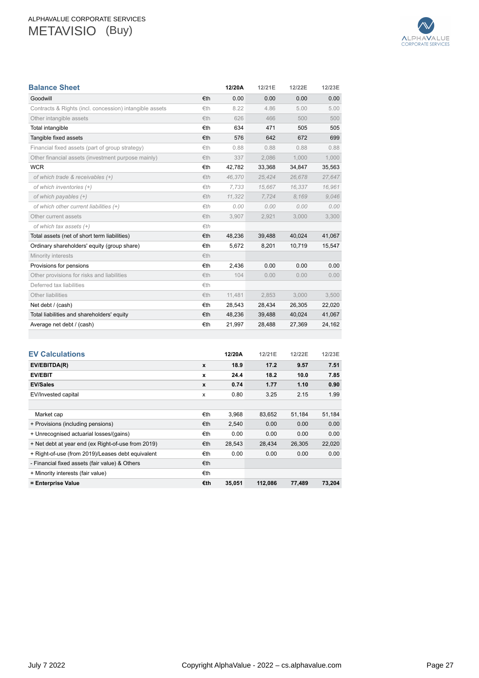

| <b>Balance Sheet</b>                                    |     | 12/20A | 12/21E | 12/22E | 12/23E |
|---------------------------------------------------------|-----|--------|--------|--------|--------|
| Goodwill                                                | €th | 0.00   | 0.00   | 0.00   | 0.00   |
| Contracts & Rights (incl. concession) intangible assets | €th | 8.22   | 4.86   | 5.00   | 5.00   |
| Other intangible assets                                 | €th | 626    | 466    | 500    | 500    |
| Total intangible                                        | €th | 634    | 471    | 505    | 505    |
| Tangible fixed assets                                   | €th | 576    | 642    | 672    | 699    |
| Financial fixed assets (part of group strategy)         | €th | 0.88   | 0.88   | 0.88   | 0.88   |
| Other financial assets (investment purpose mainly)      | €th | 337    | 2,086  | 1,000  | 1,000  |
| <b>WCR</b>                                              | €th | 42,782 | 33,368 | 34,847 | 35,563 |
| of which trade & receivables (+)                        | Eth | 46,370 | 25,424 | 26,678 | 27,647 |
| of which inventories (+)                                | Eth | 7.733  | 15.667 | 16.337 | 16,961 |
| of which payables (+)                                   | Eth | 11,322 | 7,724  | 8.169  | 9,046  |
| of which other current liabilities (+)                  | fth | 0.00   | 0.00   | 0.00   | 0.00   |
| Other current assets                                    | €th | 3,907  | 2,921  | 3,000  | 3,300  |
| of which tax assets (+)                                 | Eth |        |        |        |        |
| Total assets (net of short term liabilities)            | €th | 48,236 | 39,488 | 40,024 | 41,067 |
| Ordinary shareholders' equity (group share)             | €th | 5,672  | 8,201  | 10,719 | 15,547 |
| Minority interests                                      | €th |        |        |        |        |
| Provisions for pensions                                 | €th | 2,436  | 0.00   | 0.00   | 0.00   |
| Other provisions for risks and liabilities              | €th | 104    | 0.00   | 0.00   | 0.00   |
| Deferred tax liabilities                                | €th |        |        |        |        |
| Other liabilities                                       | €th | 11,481 | 2,853  | 3,000  | 3,500  |
| Net debt / (cash)                                       | €th | 28,543 | 28,434 | 26,305 | 22,020 |
| Total liabilities and shareholders' equity              | €th | 48,236 | 39,488 | 40,024 | 41,067 |
| Average net debt / (cash)                               | €th | 21,997 | 28,488 | 27,369 | 24,162 |
|                                                         |     |        |        |        |        |
|                                                         |     |        |        |        |        |
| <b>EV Calculations</b>                                  |     | 12/20A | 12/21E | 12/22E | 12/23E |
| EV/EBITDA(R)                                            | x   | 18.9   | 17.2   | 9.57   | 7.51   |
| <b>EV/EBIT</b>                                          | x   | 24.4   | 18.2   | 10.0   | 7.85   |

**EV/Sales x 0.74 1.77 1.10 0.90** EV/Invested capital x 0.80 3.25 2.15 1.99

Market cap €th 3,968 83,652 51,184 51,184 + Provisions (including pensions)  $£th$  2,540 0.00 0.00 0.00 + Unrecognised actuarial losses/(gains) €th 0.00 0.00 0.00 0.00 + Net debt at year end (ex Right-of-use from 2019) €th 28,543 28,434 26,305 22,020 + Right-of-use (from 2019)/Leases debt equivalent €th 0.00 0.00 0.00 0.00

**= Enterprise Value €th 35,051 112,086 77,489 73,204**

- Financial fixed assets (fair value) & Others €th + Minority interests (fair value) <del>€th</del>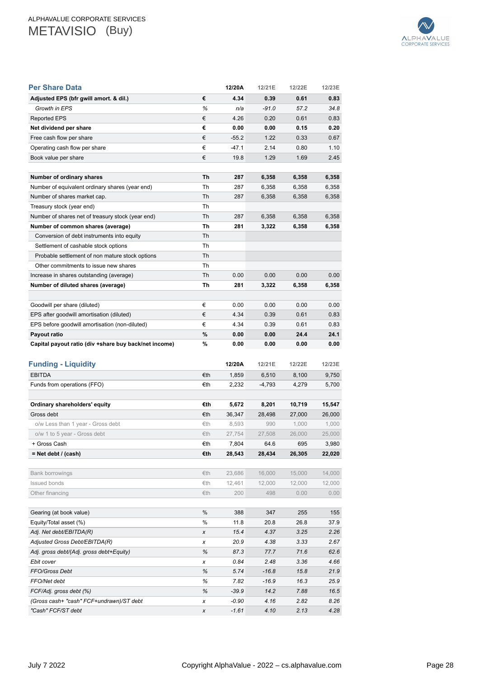

| Per Share Data                                           |        | 12/20A       | 12/21E       | 12/22E       | 12/23E       |
|----------------------------------------------------------|--------|--------------|--------------|--------------|--------------|
| Adjusted EPS (bfr gwill amort. & dil.)                   | €      | 4.34         | 0.39         | 0.61         | 0.83         |
| Growth in EPS                                            | ℅      | n/a          | $-91.0$      | 57.2         | 34.8         |
| Reported EPS                                             | €      | 4.26         | 0.20         | 0.61         | 0.83         |
| Net dividend per share                                   | €      | 0.00         | 0.00         | 0.15         | 0.20         |
| Free cash flow per share                                 | €      | $-55.2$      | 1.22         | 0.33         | 0.67         |
| Operating cash flow per share                            | €      | $-47.1$      | 2.14         | 0.80         | 1.10         |
| Book value per share                                     | €      | 19.8         | 1.29         | 1.69         | 2.45         |
|                                                          |        |              |              |              |              |
| Number of ordinary shares                                | Th     | 287          | 6,358        | 6,358        | 6,358        |
| Number of equivalent ordinary shares (year end)          | Th     | 287          | 6,358        | 6,358        | 6,358        |
| Number of shares market cap.                             | Th     | 287          | 6,358        | 6,358        | 6,358        |
| Treasury stock (year end)                                | Th     |              |              |              |              |
| Number of shares net of treasury stock (year end)        | Th     | 287          | 6,358        | 6,358        | 6,358        |
| Number of common shares (average)                        | Th     | 281          | 3,322        | 6,358        | 6,358        |
| Conversion of debt instruments into equity               | Th     |              |              |              |              |
| Settlement of cashable stock options                     | Th     |              |              |              |              |
| Probable settlement of non mature stock options          | Th     |              |              |              |              |
| Other commitments to issue new shares                    | Th     |              |              |              |              |
| Increase in shares outstanding (average)                 | Th     | 0.00         | 0.00         | 0.00         | 0.00         |
| Number of diluted shares (average)                       | Th     | 281          | 3,322        | 6,358        | 6,358        |
|                                                          |        |              |              |              |              |
| Goodwill per share (diluted)                             | €      | 0.00         | 0.00         | 0.00         | 0.00         |
| EPS after goodwill amortisation (diluted)                | €      | 4.34         | 0.39         | 0.61         | 0.83         |
| EPS before goodwill amortisation (non-diluted)           | €      | 4.34         | 0.39         | 0.61         | 0.83         |
| Payout ratio                                             | %      | 0.00         | 0.00         | 24.4         | 24.1         |
| Capital payout ratio (div +share buy back/net income)    |        |              |              |              |              |
|                                                          | %      | 0.00         | 0.00         | 0.00         | 0.00         |
|                                                          |        |              |              |              |              |
| <b>Funding - Liquidity</b>                               |        | 12/20A       | 12/21E       | 12/22E       | 12/23E       |
| <b>EBITDA</b>                                            | €th    | 1,859        | 6,510        | 8,100        | 9,750        |
| Funds from operations (FFO)                              | €th    | 2,232        | $-4,793$     | 4,279        | 5,700        |
|                                                          |        |              |              |              |              |
| Ordinary shareholders' equity                            | €th    | 5,672        | 8,201        | 10,719       | 15,547       |
| Gross debt                                               | €th    | 36,347       | 28,498       | 27,000       | 26,000       |
| o/w Less than 1 year - Gross debt                        | €th    | 8,593        | 990          | 1,000        | 1,000        |
| o/w 1 to 5 year - Gross debt                             | €th    | 27,754       | 27,508       | 26,000       | 25,000       |
| + Gross Cash                                             | €th    | 7,804        | 64.6         | 695          | 3,980        |
| $=$ Net debt / (cash)                                    | €th    | 28,543       | 28,434       | 26,305       | 22,020       |
|                                                          |        |              |              |              |              |
| <b>Bank borrowings</b>                                   | €th    | 23,686       | 16,000       | 15,000       | 14,000       |
| Issued bonds                                             | €th    | 12,461       | 12,000       | 12,000       | 12,000       |
| Other financing                                          | €th    | 200          | 498          | 0.00         | 0.00         |
|                                                          |        |              |              |              |              |
| Gearing (at book value)                                  | %      | 388          | 347          | 255          | 155          |
| Equity/Total asset (%)                                   | %      | 11.8         | 20.8         | 26.8         | 37.9         |
| Adj. Net debt/EBITDA(R)<br>Adjusted Gross Debt/EBITDA(R) | x      | 15.4<br>20.9 | 4.37<br>4.38 | 3.25<br>3.33 | 2.26<br>2.67 |
|                                                          | x<br>% | 87.3         | 77.7         | 71.6         |              |
| Adj. gross debt/(Adj. gross debt+Equity)<br>Ebit cover   | x      | 0.84         | 2.48         | 3.36         | 62.6<br>4.66 |
| FFO/Gross Debt                                           | ℅      | 5.74         | $-16.8$      | 15.8         | 21.9         |
| FFO/Net debt                                             | ℅      | 7.82         | $-16.9$      | 16.3         | 25.9         |
| FCF/Adj. gross debt (%)                                  | ℅      | $-39.9$      | 14.2         | 7.88         | 16.5         |
| (Gross cash+ "cash" FCF+undrawn)/ST debt                 | x      | -0.90        | 4.16         | 2.82         | 8.26         |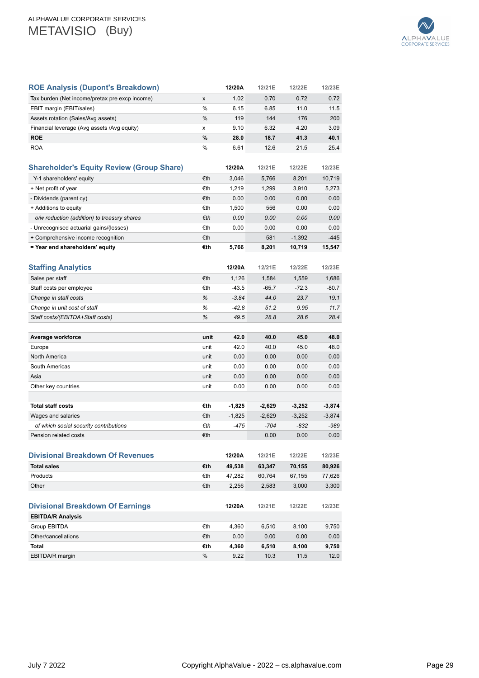

| <b>ROE Analysis (Dupont's Breakdown)</b>         |      | 12/20A   | 12/21E   | 12/22E   | 12/23E   |
|--------------------------------------------------|------|----------|----------|----------|----------|
| Tax burden (Net income/pretax pre excp income)   | x    | 1.02     | 0.70     | 0.72     | 0.72     |
| EBIT margin (EBIT/sales)                         | %    | 6.15     | 6.85     | 11.0     | 11.5     |
| Assets rotation (Sales/Avg assets)               | %    | 119      | 144      | 176      | 200      |
| Financial leverage (Avg assets /Avg equity)      | x    | 9.10     | 6.32     | 4.20     | 3.09     |
| <b>ROE</b>                                       | %    | 28.0     | 18.7     | 41.3     | 40.1     |
| <b>ROA</b>                                       | %    | 6.61     | 12.6     | 21.5     | 25.4     |
| <b>Shareholder's Equity Review (Group Share)</b> |      | 12/20A   | 12/21E   | 12/22E   | 12/23E   |
| Y-1 shareholders' equity                         | €th  | 3,046    | 5,766    | 8,201    | 10,719   |
| + Net profit of year                             | €th  | 1,219    | 1,299    | 3,910    | 5,273    |
| - Dividends (parent cy)                          | €th  | 0.00     | 0.00     | 0.00     | 0.00     |
| + Additions to equity                            | €th  | 1,500    | 556      | 0.00     | 0.00     |
| o/w reduction (addition) to treasury shares      | €th  | 0.00     | 0.00     | 0.00     | 0.00     |
| - Unrecognised actuarial gains/(losses)          | €th  | 0.00     | 0.00     | 0.00     | 0.00     |
| + Comprehensive income recognition               | €th  |          | 581      | $-1,392$ | $-445$   |
| = Year end shareholders' equity                  | €th  | 5,766    | 8,201    | 10,719   | 15,547   |
|                                                  |      |          |          |          |          |
| Staffing Analytics                               |      | 12/20A   | 12/21E   | 12/22E   | 12/23E   |
| Sales per staff                                  | €th  | 1,126    | 1,584    | 1,559    | 1,686    |
| Staff costs per employee                         | €th  | $-43.5$  | $-65.7$  | $-72.3$  | $-80.7$  |
| Change in staff costs                            | %    | $-3.84$  | 44.0     | 23.7     | 19.1     |
| Change in unit cost of staff                     | %    | $-42.8$  | 51.2     | 9.95     | 11.7     |
| Staff costs/(EBITDA+Staff costs)                 | %    | 49.5     | 28.8     | 28.6     | 28.4     |
|                                                  |      |          |          |          |          |
| Average workforce                                | unit | 42.0     | 40.0     | 45.0     | 48.0     |
| Europe                                           | unit | 42.0     | 40.0     | 45.0     | 48.0     |
| North America                                    | unit | 0.00     | 0.00     | 0.00     | 0.00     |
| South Americas                                   | unit | 0.00     | 0.00     | 0.00     | 0.00     |
| Asia                                             | unit | 0.00     | 0.00     | 0.00     | 0.00     |
| Other key countries                              | unit | 0.00     | 0.00     | 0.00     | 0.00     |
|                                                  |      |          |          |          |          |
| <b>Total staff costs</b>                         | €th  | -1,825   | $-2,629$ | $-3,252$ | $-3,874$ |
| Wages and salaries                               | €th  | $-1,825$ | $-2,629$ | $-3,252$ | $-3,874$ |
| of which social security contributions           | €th  | $-475$   | $-704$   | -832     | -989     |
| Pension related costs                            | €th  |          | 0.00     | 0.00     | 0.00     |
|                                                  |      |          |          |          |          |
| <b>Divisional Breakdown Of Revenues</b>          |      | 12/20A   | 12/21E   | 12/22E   | 12/23E   |
| <b>Total sales</b>                               | €th  | 49,538   | 63,347   | 70,155   | 80,926   |
| Products                                         | €th  | 47,282   | 60,764   | 67,155   | 77,626   |
| Other                                            | €th  | 2,256    | 2,583    | 3,000    | 3,300    |
|                                                  |      |          |          |          |          |
| <b>Divisional Breakdown Of Earnings</b>          |      | 12/20A   | 12/21E   | 12/22E   | 12/23E   |
| <b>EBITDA/R Analysis</b>                         |      |          |          |          |          |
| Group EBITDA                                     | €th  | 4,360    | 6,510    | 8,100    | 9,750    |
| Other/cancellations                              | €th  | 0.00     | 0.00     | 0.00     | 0.00     |
| Total                                            | €th  | 4,360    | 6,510    | 8,100    | 9,750    |
| EBITDA/R margin                                  | %    | 9.22     | 10.3     | 11.5     | 12.0     |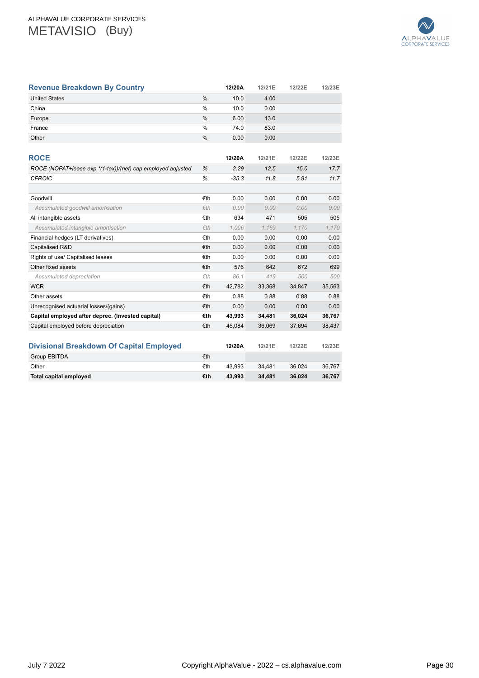

| <b>Revenue Breakdown By Country</b>                         |               | 12/20A  | 12/21E | 12/22E | 12/23E |
|-------------------------------------------------------------|---------------|---------|--------|--------|--------|
| <b>United States</b>                                        | %             | 10.0    | 4.00   |        |        |
| China                                                       | %             | 10.0    | 0.00   |        |        |
| Europe                                                      | $\frac{0}{0}$ | 6.00    | 13.0   |        |        |
| France                                                      | %             | 74.0    | 83.0   |        |        |
| Other                                                       | $\frac{0}{0}$ | 0.00    | 0.00   |        |        |
| <b>ROCE</b>                                                 |               | 12/20A  | 12/21E | 12/22E | 12/23E |
| ROCE (NOPAT+lease exp.*(1-tax))/(net) cap employed adjusted | %             | 2.29    | 12.5   | 15.0   | 17.7   |
| <b>CFROIC</b>                                               | %             | $-35.3$ | 11.8   | 5.91   | 11.7   |
|                                                             |               |         |        |        |        |
| Goodwill                                                    | €th           | 0.00    | 0.00   | 0.00   | 0.00   |
| Accumulated goodwill amortisation                           | Eth           | 0.00    | 0.00   | 0.00   | 0.00   |
| All intangible assets                                       | €th           | 634     | 471    | 505    | 505    |
| Accumulated intangible amortisation                         | Eth           | 1.006   | 1.169  | 1,170  | 1,170  |
| Financial hedges (LT derivatives)                           | €th           | 0.00    | 0.00   | 0.00   | 0.00   |
| Capitalised R&D                                             | €th           | 0.00    | 0.00   | 0.00   | 0.00   |
| Rights of use/ Capitalised leases                           | €th           | 0.00    | 0.00   | 0.00   | 0.00   |
| Other fixed assets                                          | €th           | 576     | 642    | 672    | 699    |
| Accumulated depreciation                                    | fth           | 86.1    | 419    | 500    | 500    |
| <b>WCR</b>                                                  | €th           | 42,782  | 33,368 | 34,847 | 35,563 |
| Other assets                                                | €th           | 0.88    | 0.88   | 0.88   | 0.88   |
| Unrecognised actuarial losses/(gains)                       | €th           | 0.00    | 0.00   | 0.00   | 0.00   |
| Capital employed after deprec. (Invested capital)           | €th           | 43,993  | 34,481 | 36,024 | 36,767 |
| Capital employed before depreciation                        | €th           | 45,084  | 36,069 | 37,694 | 38,437 |
|                                                             |               |         |        |        |        |
| <b>Divisional Breakdown Of Capital Employed</b>             |               | 12/20A  | 12/21E | 12/22E | 12/23E |
| <b>Group EBITDA</b>                                         | €th           |         |        |        |        |
| Other                                                       | €th           | 43,993  | 34,481 | 36,024 | 36,767 |
| <b>Total capital employed</b>                               | €th           | 43.993  | 34.481 | 36.024 | 36.767 |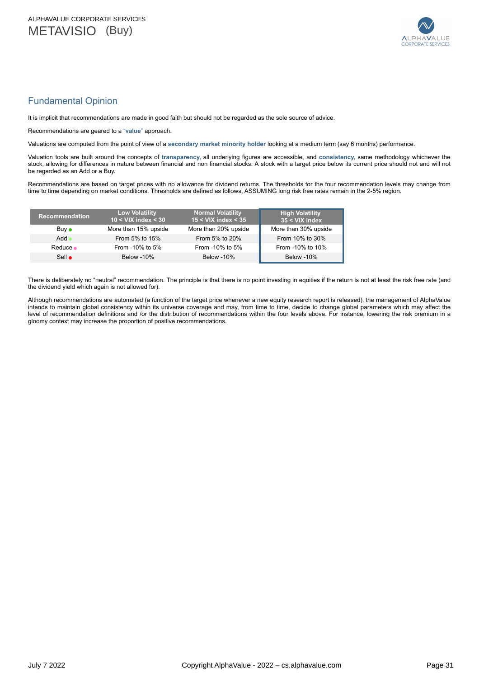

# <span id="page-30-0"></span>Fundamental Opinion

It is implicit that recommendations are made in good faith but should not be regarded as the sole source of advice.

Recommendations are geared to a "**value**" approach.

Valuations are computed from the point of view of a **secondary market minority holder** looking at a medium term (say 6 months) performance.

Valuation tools are built around the concepts of **transparency,** all underlying figures are accessible, and **consistency,** same methodology whichever the stock, allowing for differences in nature between financial and non financial stocks. A stock with a target price below its current price should not and will not be regarded as an Add or a Buy.

Recommendations are based on target prices with no allowance for dividend returns. The thresholds for the four recommendation levels may change from time to time depending on market conditions. Thresholds are defined as follows, ASSUMING long risk free rates remain in the 2-5% region.

| <b>Recommendation</b> | <b>Low Volatility</b><br>$10 < VIX$ index $< 30$ | <b>Normal Volatility</b><br>$15 <$ VIX index $<$ 35 | <b>High Volatility</b><br>35 < VIX index |
|-----------------------|--------------------------------------------------|-----------------------------------------------------|------------------------------------------|
| Buv •                 | More than 15% upside                             | More than 20% upside                                | More than 30% upside                     |
| Add                   | From 5% to 15%                                   | From 5% to 20%                                      | From 10% to 30%                          |
| Reduce •              | From -10% to 5%                                  | From -10% to 5%                                     | From -10% to 10%                         |
| $Sell \bullet$        | <b>Below</b> -10%                                | <b>Below</b> -10%                                   | <b>Below</b> -10%                        |

There is deliberately no "neutral" recommendation. The principle is that there is no point investing in equities if the return is not at least the risk free rate (and the dividend yield which again is not allowed for).

Although recommendations are automated (a function of the target price whenever a new equity research report is released), the management of AlphaValue intends to maintain global consistency within its universe coverage and may, from time to time, decide to change global parameters which may affect the level of recommendation definitions and /or the distribution of recommendations within the four levels above. For instance, lowering the risk premium in a gloomy context may increase the proportion of positive recommendations.